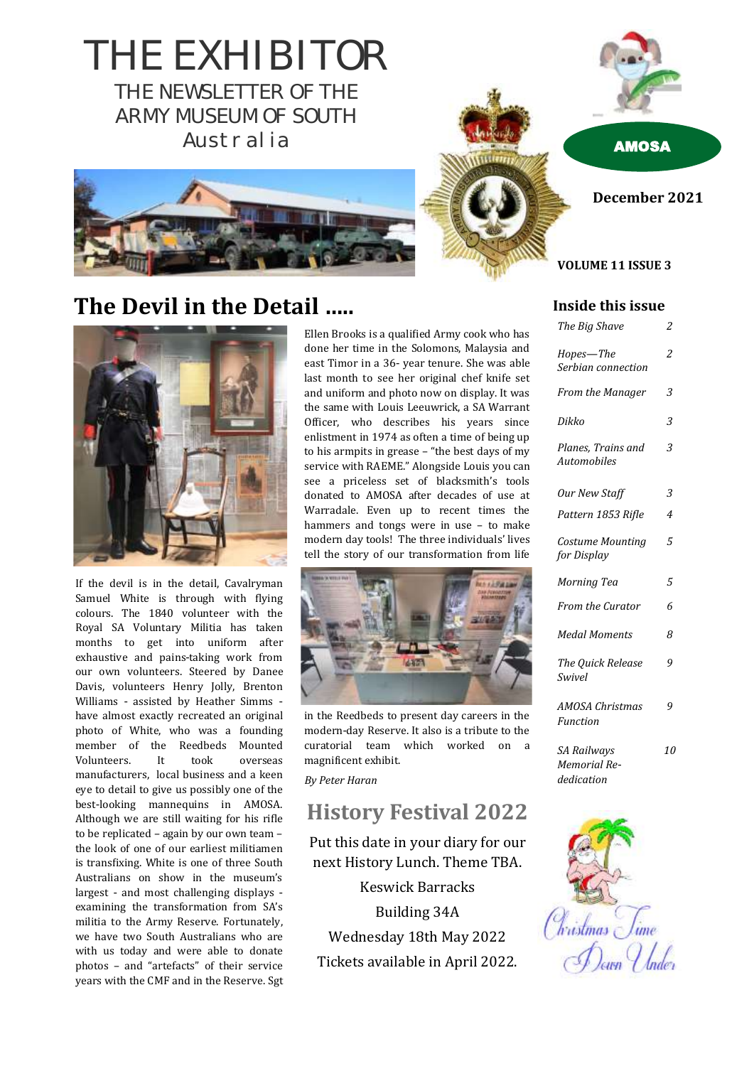THE EXHIBITOR THE NEWSLETTER OF THE ARMY MUSEUM OF SOUTH Australia AMOSA



**December 2021**

#### **VOLUME 11 ISSUE 3**

# **The Devil in the Detail …..**



If the devil is in the detail, Cavalryman Samuel White is through with flying colours. The 1840 volunteer with the Royal SA Voluntary Militia has taken months to get into uniform after exhaustive and pains-taking work from our own volunteers. Steered by Danee Davis, volunteers Henry Jolly, Brenton Williams - assisted by Heather Simms have almost exactly recreated an original photo of White, who was a founding member of the Reedbeds Mounted Volunteers. It took overseas manufacturers, local business and a keen eye to detail to give us possibly one of the best-looking mannequins in AMOSA. Although we are still waiting for his rifle to be replicated – again by our own team – the look of one of our earliest militiamen is transfixing. White is one of three South Australians on show in the museum's largest - and most challenging displays examining the transformation from SA's militia to the Army Reserve. Fortunately, we have two South Australians who are with us today and were able to donate photos – and "artefacts" of their service years with the CMF and in the Reserve. Sgt

Ellen Brooks is a qualified Army cook who has done her time in the Solomons, Malaysia and east Timor in a 36- year tenure. She was able last month to see her original chef knife set and uniform and photo now on display. It was the same with Louis Leeuwrick, a SA Warrant Officer, who describes his years since enlistment in 1974 as often a time of being up to his armpits in grease – "the best days of my service with RAEME." Alongside Louis you can see a priceless set of blacksmith's tools donated to AMOSA after decades of use at Warradale. Even up to recent times the hammers and tongs were in use – to make modern day tools! The three individuals' lives tell the story of our transformation from life



in the Reedbeds to present day careers in the modern-day Reserve. It also is a tribute to the curatorial team which worked on a magnificent exhibit.

*By Peter Haran*

#### **History Festival 2022**

Put this date in your diary for our next History Lunch. Theme TBA.

Keswick Barracks Building 34A Wednesday 18th May 2022 Tickets available in April 2022.

#### **Inside this issue**

| The Big Shave                                    | 2  |
|--------------------------------------------------|----|
| Hopes-The<br>Serbian connection                  | 2  |
| <b>From the Manager</b>                          | 3  |
| Dikko                                            | 3  |
| Planes, Trains and<br><b>Automobiles</b>         | 3  |
| Our New Staff                                    | 3  |
| Pattern 1853 Rifle                               | 4  |
| Costume Mounting<br>for Display                  | 5  |
| Morning Tea                                      | 5  |
| From the Curator                                 | 6  |
| <b>Medal Moments</b>                             | 8  |
| The Quick Release<br>Swivel                      | 9  |
| <b>AMOSA Christmas</b><br>Function               | 9  |
| SA Railways<br><b>Memorial Re-</b><br>dedication | 10 |

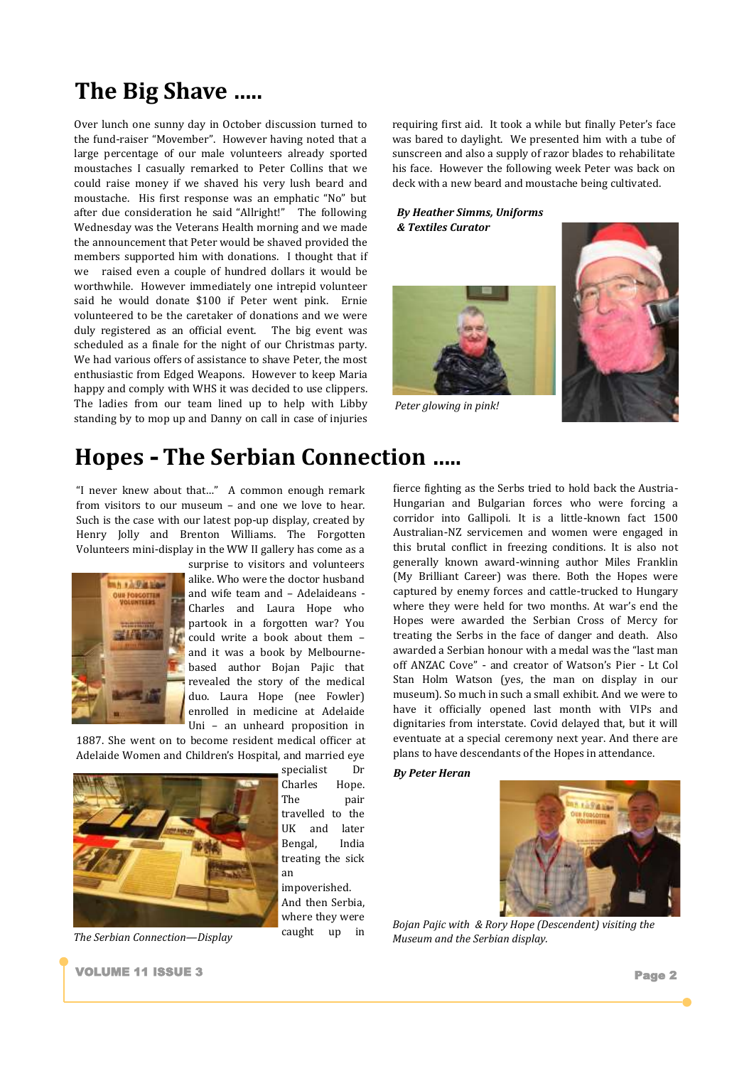# **The Big Shave …..**

Over lunch one sunny day in October discussion turned to the fund-raiser "Movember". However having noted that a large percentage of our male volunteers already sported moustaches I casually remarked to Peter Collins that we could raise money if we shaved his very lush beard and moustache. His first response was an emphatic "No" but after due consideration he said "Allright!" The following Wednesday was the Veterans Health morning and we made the announcement that Peter would be shaved provided the members supported him with donations. I thought that if we raised even a couple of hundred dollars it would be worthwhile. However immediately one intrepid volunteer said he would donate \$100 if Peter went pink. Ernie volunteered to be the caretaker of donations and we were duly registered as an official event. The big event was scheduled as a finale for the night of our Christmas party. We had various offers of assistance to shave Peter, the most enthusiastic from Edged Weapons. However to keep Maria happy and comply with WHS it was decided to use clippers. The ladies from our team lined up to help with Libby standing by to mop up and Danny on call in case of injuries requiring first aid. It took a while but finally Peter's face was bared to daylight. We presented him with a tube of sunscreen and also a supply of razor blades to rehabilitate his face. However the following week Peter was back on deck with a new beard and moustache being cultivated.

#### *By Heather Simms, Uniforms & Textiles Curator*



*Peter glowing in pink!*



### **Hopes - The Serbian Connection …..**

"I never knew about that…" A common enough remark from visitors to our museum – and one we love to hear. Such is the case with our latest pop-up display, created by Henry Jolly and Brenton Williams. The Forgotten Volunteers mini-display in the WW II gallery has come as a



surprise to visitors and volunteers alike. Who were the doctor husband and wife team and – Adelaideans - Charles and Laura Hope who partook in a forgotten war? You could write a book about them – and it was a book by Melbournebased author Bojan Pajic that revealed the story of the medical duo. Laura Hope (nee Fowler) enrolled in medicine at Adelaide Uni – an unheard proposition in

1887. She went on to become resident medical officer at Adelaide Women and Children's Hospital, and married eye



specialist Dr Charles Hope. The pair travelled to the UK and later Bengal, India treating the sick an impoverished. And then Serbia, where they were

caught up in

fierce fighting as the Serbs tried to hold back the Austria-Hungarian and Bulgarian forces who were forcing a corridor into Gallipoli. It is a little-known fact 1500 Australian-NZ servicemen and women were engaged in this brutal conflict in freezing conditions. It is also not generally known award-winning author Miles Franklin (My Brilliant Career) was there. Both the Hopes were captured by enemy forces and cattle-trucked to Hungary where they were held for two months. At war's end the Hopes were awarded the Serbian Cross of Mercy for treating the Serbs in the face of danger and death. Also awarded a Serbian honour with a medal was the "last man off ANZAC Cove" - and creator of Watson's Pier - Lt Col Stan Holm Watson (yes, the man on display in our museum). So much in such a small exhibit. And we were to have it officially opened last month with VIPs and dignitaries from interstate. Covid delayed that, but it will eventuate at a special ceremony next year. And there are plans to have descendants of the Hopes in attendance.

#### *By Peter Heran*



*Bojan Pajic with & Rory Hope (Descendent) visiting the*  The Serbian Connection—Display *Caught* **Museum and the Serbian display.** 

**VOLUME 11 ISSUE 3** Page 2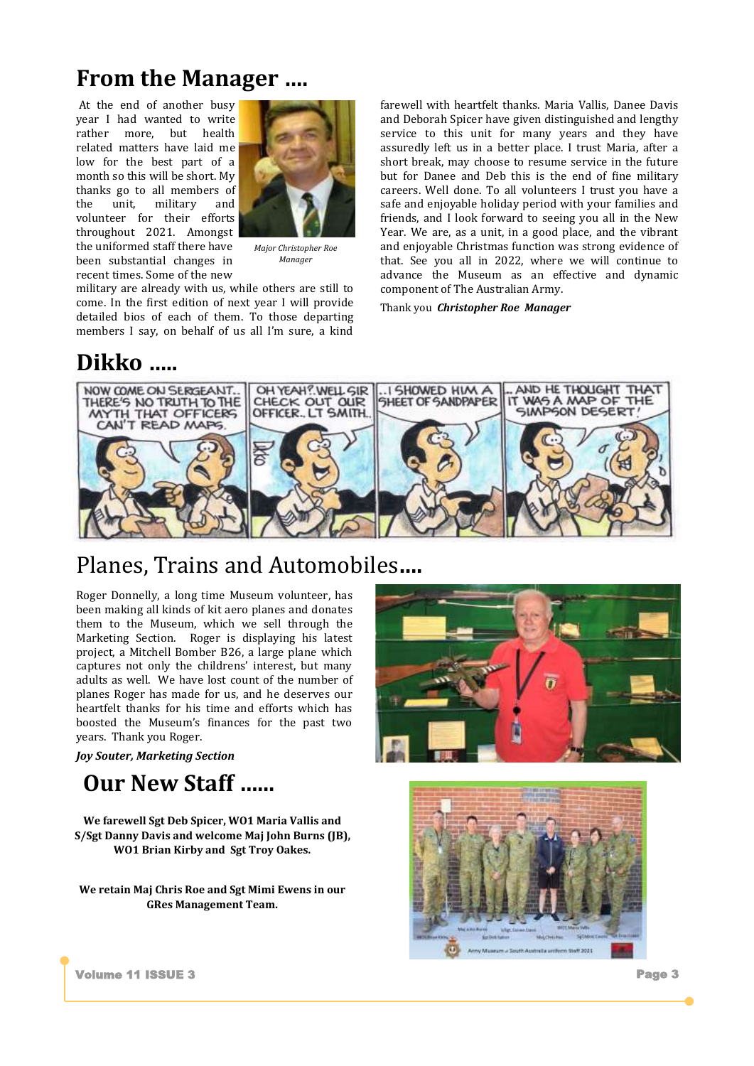# **From the Manager ….**

At the end of another busy year I had wanted to write rather more, but health related matters have laid me low for the best part of a month so this will be short. My thanks go to all members of the unit, military and volunteer for their efforts throughout 2021. Amongst the uniformed staff there have been substantial changes in recent times. Some of the new



*Major Christopher Roe Manager*

military are already with us, while others are still to come. In the first edition of next year I will provide detailed bios of each of them. To those departing members I say, on behalf of us all I'm sure, a kind

#### **Dikko …..**

farewell with heartfelt thanks. Maria Vallis, Danee Davis and Deborah Spicer have given distinguished and lengthy service to this unit for many years and they have assuredly left us in a better place. I trust Maria, after a short break, may choose to resume service in the future but for Danee and Deb this is the end of fine military careers. Well done. To all volunteers I trust you have a safe and enjoyable holiday period with your families and friends, and I look forward to seeing you all in the New Year. We are, as a unit, in a good place, and the vibrant and enjoyable Christmas function was strong evidence of that. See you all in 2022, where we will continue to advance the Museum as an effective and dynamic component of The Australian Army.

Thank you *Christopher Roe Manager*



#### Planes, Trains and Automobiles**….**

Roger Donnelly, a long time Museum volunteer, has been making all kinds of kit aero planes and donates them to the Museum, which we sell through the Marketing Section. Roger is displaying his latest project, a Mitchell Bomber B26, a large plane which captures not only the childrens' interest, but many adults as well. We have lost count of the number of planes Roger has made for us, and he deserves our heartfelt thanks for his time and efforts which has boosted the Museum's finances for the past two years. Thank you Roger.

*Joy Souter, Marketing Section*

### **Our New Staff …...**

**We farewell Sgt Deb Spicer, WO1 Maria Vallis and S/Sgt Danny Davis and welcome Maj John Burns (JB), WO1 Brian Kirby and Sgt Troy Oakes.**

**We retain Maj Chris Roe and Sgt Mimi Ewens in our GRes Management Team.**





Volume 11 ISSUE 3 Page 3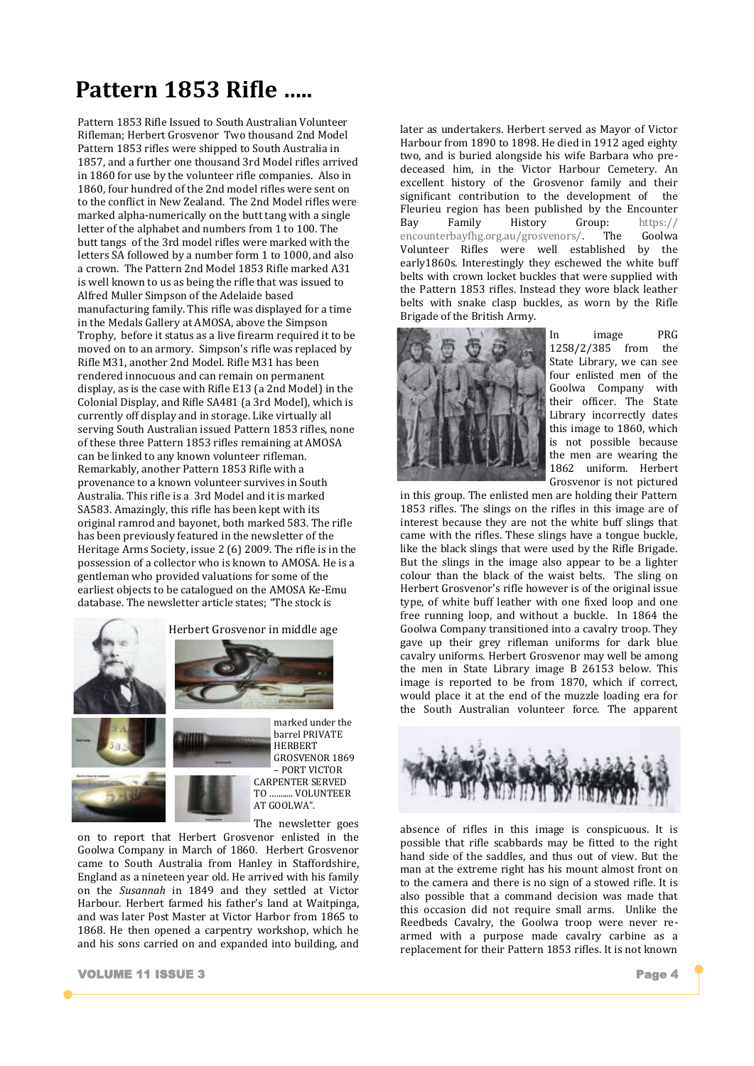# **Pattern 1853 Rifle …..**

Pattern 1853 Rifle Issued to South Australian Volunteer Rifleman; Herbert Grosvenor Two thousand 2nd Model Pattern 1853 rifles were shipped to South Australia in 1857, and a further one thousand 3rd Model rifles arrived in 1860 for use by the volunteer rifle companies. Also in 1860, four hundred of the 2nd model rifles were sent on to the conflict in New Zealand. The 2nd Model rifles were marked alpha-numerically on the butt tang with a single letter of the alphabet and numbers from 1 to 100. The butt tangs of the 3rd model rifles were marked with the letters SA followed by a number form 1 to 1000, and also a crown. The Pattern 2nd Model 1853 Rifle marked A31 is well known to us as being the rifle that was issued to Alfred Muller Simpson of the Adelaide based manufacturing family. This rifle was displayed for a time in the Medals Gallery at AMOSA, above the Simpson Trophy, before it status as a live firearm required it to be moved on to an armory. Simpson's rifle was replaced by Rifle M31, another 2nd Model. Rifle M31 has been rendered innocuous and can remain on permanent display, as is the case with Rifle E13 (a 2nd Model) in the Colonial Display, and Rifle SA481 (a 3rd Model), which is currently off display and in storage. Like virtually all serving South Australian issued Pattern 1853 rifles, none of these three Pattern 1853 rifles remaining at AMOSA can be linked to any known volunteer rifleman. Remarkably, another Pattern 1853 Rifle with a provenance to a known volunteer survives in South Australia. This rifle is a 3rd Model and it is marked SA583. Amazingly, this rifle has been kept with its original ramrod and bayonet, both marked 583. The rifle has been previously featured in the newsletter of the Heritage Arms Society, issue 2 (6) 2009. The rifle is in the possession of a collector who is known to AMOSA. He is a gentleman who provided valuations for some of the earliest objects to be catalogued on the AMOSA Ke-Emu database. The newsletter article states; "The stock is







barrel PRIVATE HERBERT GROSVENOR 1869 – PORT VICTOR CARPENTER SERVED TO VOLUNTEER AT GOOLWA".

The newsletter goes

on to report that Herbert Grosvenor enlisted in the Goolwa Company in March of 1860. Herbert Grosvenor came to South Australia from Hanley in Staffordshire, England as a nineteen year old. He arrived with his family on the *Susannah* in 1849 and they settled at Victor Harbour. Herbert farmed his father's land at Waitpinga, and was later Post Master at Victor Harbor from 1865 to 1868. He then opened a carpentry workshop, which he and his sons carried on and expanded into building, and

later as undertakers. Herbert served as Mayor of Victor Harbour from 1890 to 1898. He died in 1912 aged eighty two, and is buried alongside his wife Barbara who predeceased him, in the Victor Harbour Cemetery. An excellent history of the Grosvenor family and their significant contribution to the development of the Fleurieu region has been published by the Encounter Bay Family History Group: https:// encounterbayfhg.org.au/grosvenors/. The Goolwa Volunteer Rifles were well established by the early1860s. Interestingly they eschewed the white buff belts with crown locket buckles that were supplied with the Pattern 1853 rifles. Instead they wore black leather belts with snake clasp buckles, as worn by the Rifle Brigade of the British Army.



In image PRG 1258/2/385 from the State Library, we can see four enlisted men of the Goolwa Company with their officer. The State Library incorrectly dates this image to 1860, which is not possible because the men are wearing the 1862 uniform. Herbert Grosvenor is not pictured

in this group. The enlisted men are holding their Pattern 1853 rifles. The slings on the rifles in this image are of interest because they are not the white buff slings that came with the rifles. These slings have a tongue buckle, like the black slings that were used by the Rifle Brigade. But the slings in the image also appear to be a lighter colour than the black of the waist belts. The sling on Herbert Grosvenor's rifle however is of the original issue type, of white buff leather with one fixed loop and one free running loop, and without a buckle. In 1864 the Goolwa Company transitioned into a cavalry troop. They gave up their grey rifleman uniforms for dark blue cavalry uniforms. Herbert Grosvenor may well be among the men in State Library image B 26153 below. This image is reported to be from 1870, which if correct, would place it at the end of the muzzle loading era for the South Australian volunteer force. The apparent



absence of rifles in this image is conspicuous. It is possible that rifle scabbards may be fitted to the right hand side of the saddles, and thus out of view. But the man at the extreme right has his mount almost front on to the camera and there is no sign of a stowed rifle. It is also possible that a command decision was made that this occasion did not require small arms. Unlike the Reedbeds Cavalry, the Goolwa troop were never rearmed with a purpose made cavalry carbine as a replacement for their Pattern 1853 rifles. It is not known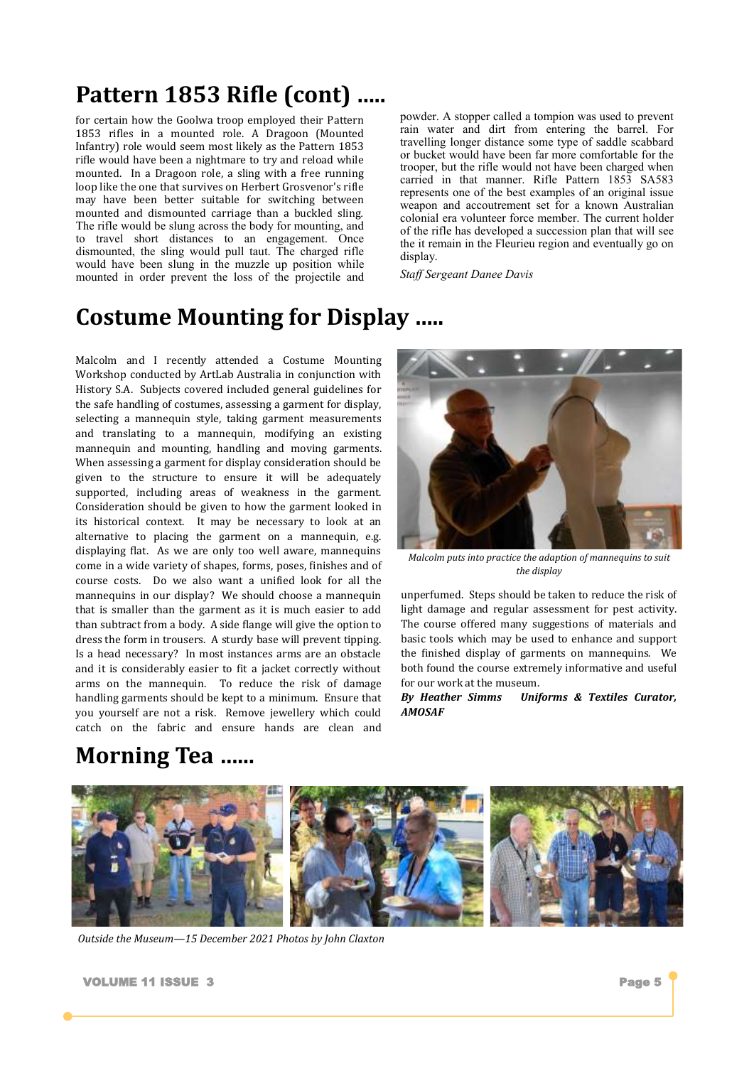# **Pattern 1853 Rifle (cont) …..**

for certain how the Goolwa troop employed their Pattern 1853 rifles in a mounted role. A Dragoon (Mounted Infantry) role would seem most likely as the Pattern 1853 rifle would have been a nightmare to try and reload while mounted. In a Dragoon role, a sling with a free running loop like the one that survives on Herbert Grosvenor's rifle may have been better suitable for switching between mounted and dismounted carriage than a buckled sling. The rifle would be slung across the body for mounting, and to travel short distances to an engagement. Once dismounted, the sling would pull taut. The charged rifle would have been slung in the muzzle up position while mounted in order prevent the loss of the projectile and powder. A stopper called a tompion was used to prevent rain water and dirt from entering the barrel. For travelling longer distance some type of saddle scabbard or bucket would have been far more comfortable for the trooper, but the rifle would not have been charged when carried in that manner. Rifle Pattern 1853 SA583 represents one of the best examples of an original issue weapon and accoutrement set for a known Australian colonial era volunteer force member. The current holder of the rifle has developed a succession plan that will see the it remain in the Fleurieu region and eventually go on display.

*Staff Sergeant Danee Davis* 

#### **Costume Mounting for Display …..**

Malcolm and I recently attended a Costume Mounting Workshop conducted by ArtLab Australia in conjunction with History S.A. Subjects covered included general guidelines for the safe handling of costumes, assessing a garment for display, selecting a mannequin style, taking garment measurements and translating to a mannequin, modifying an existing mannequin and mounting, handling and moving garments. When assessing a garment for display consideration should be given to the structure to ensure it will be adequately supported, including areas of weakness in the garment. Consideration should be given to how the garment looked in its historical context. It may be necessary to look at an alternative to placing the garment on a mannequin, e.g. displaying flat. As we are only too well aware, mannequins come in a wide variety of shapes, forms, poses, finishes and of course costs. Do we also want a unified look for all the mannequins in our display? We should choose a mannequin that is smaller than the garment as it is much easier to add than subtract from a body. A side flange will give the option to dress the form in trousers. A sturdy base will prevent tipping. Is a head necessary? In most instances arms are an obstacle and it is considerably easier to fit a jacket correctly without arms on the mannequin. To reduce the risk of damage handling garments should be kept to a minimum. Ensure that you yourself are not a risk. Remove jewellery which could catch on the fabric and ensure hands are clean and

# **Morning Tea …...**



*Malcolm puts into practice the adaption of mannequins to suit the display*

unperfumed. Steps should be taken to reduce the risk of light damage and regular assessment for pest activity. The course offered many suggestions of materials and basic tools which may be used to enhance and support the finished display of garments on mannequins. We both found the course extremely informative and useful for our work at the museum.

*By Heather Simms Uniforms & Textiles Curator, AMOSAF*



*Outside the Museum—15 December 2021 Photos by John Claxton*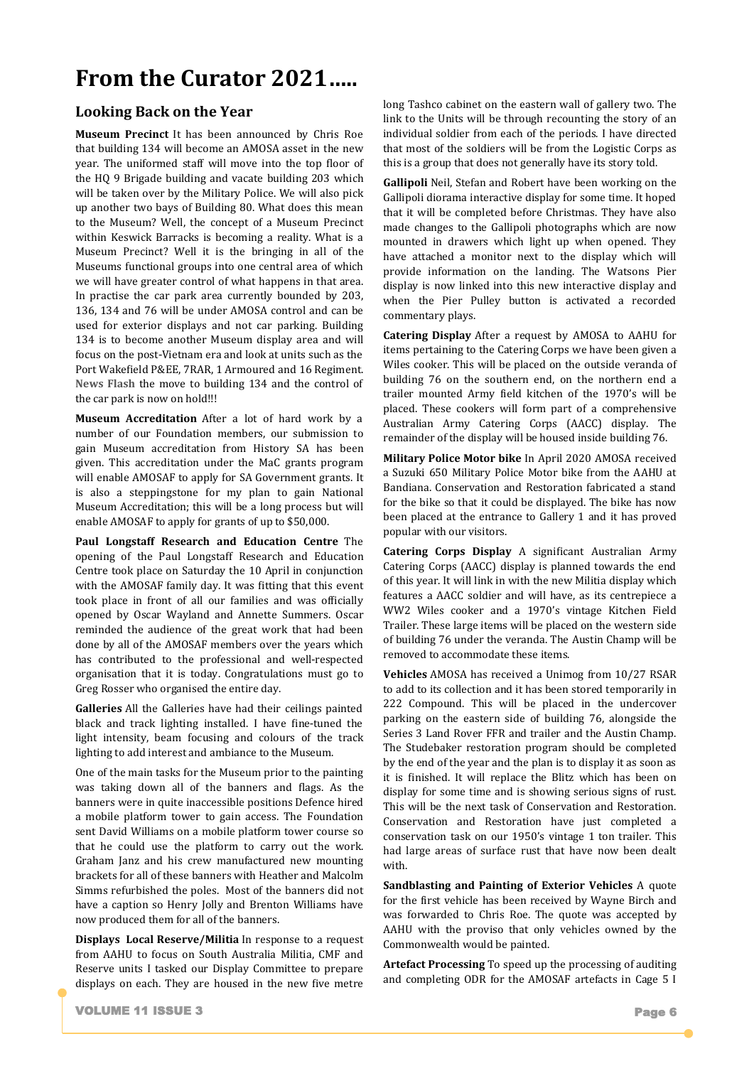# **From the Curator 2021…..**

#### **Looking Back on the Year**

**Museum Precinct** It has been announced by Chris Roe that building 134 will become an AMOSA asset in the new year. The uniformed staff will move into the top floor of the HQ 9 Brigade building and vacate building 203 which will be taken over by the Military Police. We will also pick up another two bays of Building 80. What does this mean to the Museum? Well, the concept of a Museum Precinct within Keswick Barracks is becoming a reality. What is a Museum Precinct? Well it is the bringing in all of the Museums functional groups into one central area of which we will have greater control of what happens in that area. In practise the car park area currently bounded by 203, 136, 134 and 76 will be under AMOSA control and can be used for exterior displays and not car parking. Building 134 is to become another Museum display area and will focus on the post-Vietnam era and look at units such as the Port Wakefield P&EE, 7RAR, 1 Armoured and 16 Regiment. **News Flash** the move to building 134 and the control of the car park is now on hold!!!

**Museum Accreditation** After a lot of hard work by a number of our Foundation members, our submission to gain Museum accreditation from History SA has been given. This accreditation under the MaC grants program will enable AMOSAF to apply for SA Government grants. It is also a steppingstone for my plan to gain National Museum Accreditation; this will be a long process but will enable AMOSAF to apply for grants of up to \$50,000.

**Paul Longstaff Research and Education Centre** The opening of the Paul Longstaff Research and Education Centre took place on Saturday the 10 April in conjunction with the AMOSAF family day. It was fitting that this event took place in front of all our families and was officially opened by Oscar Wayland and Annette Summers. Oscar reminded the audience of the great work that had been done by all of the AMOSAF members over the years which has contributed to the professional and well-respected organisation that it is today. Congratulations must go to Greg Rosser who organised the entire day.

**Galleries** All the Galleries have had their ceilings painted black and track lighting installed. I have fine-tuned the light intensity, beam focusing and colours of the track lighting to add interest and ambiance to the Museum.

One of the main tasks for the Museum prior to the painting was taking down all of the banners and flags. As the banners were in quite inaccessible positions Defence hired a mobile platform tower to gain access. The Foundation sent David Williams on a mobile platform tower course so that he could use the platform to carry out the work. Graham Janz and his crew manufactured new mounting brackets for all of these banners with Heather and Malcolm Simms refurbished the poles. Most of the banners did not have a caption so Henry Jolly and Brenton Williams have now produced them for all of the banners.

**Displays Local Reserve/Militia** In response to a request from AAHU to focus on South Australia Militia, CMF and Reserve units I tasked our Display Committee to prepare displays on each. They are housed in the new five metre long Tashco cabinet on the eastern wall of gallery two. The link to the Units will be through recounting the story of an individual soldier from each of the periods. I have directed that most of the soldiers will be from the Logistic Corps as this is a group that does not generally have its story told.

**Gallipoli** Neil, Stefan and Robert have been working on the Gallipoli diorama interactive display for some time. It hoped that it will be completed before Christmas. They have also made changes to the Gallipoli photographs which are now mounted in drawers which light up when opened. They have attached a monitor next to the display which will provide information on the landing. The Watsons Pier display is now linked into this new interactive display and when the Pier Pulley button is activated a recorded commentary plays.

**Catering Display** After a request by AMOSA to AAHU for items pertaining to the Catering Corps we have been given a Wiles cooker. This will be placed on the outside veranda of building 76 on the southern end, on the northern end a trailer mounted Army field kitchen of the 1970's will be placed. These cookers will form part of a comprehensive Australian Army Catering Corps (AACC) display. The remainder of the display will be housed inside building 76.

**Military Police Motor bike** In April 2020 AMOSA received a Suzuki 650 Military Police Motor bike from the AAHU at Bandiana. Conservation and Restoration fabricated a stand for the bike so that it could be displayed. The bike has now been placed at the entrance to Gallery 1 and it has proved popular with our visitors.

**Catering Corps Display** A significant Australian Army Catering Corps (AACC) display is planned towards the end of this year. It will link in with the new Militia display which features a AACC soldier and will have, as its centrepiece a WW2 Wiles cooker and a 1970's vintage Kitchen Field Trailer. These large items will be placed on the western side of building 76 under the veranda. The Austin Champ will be removed to accommodate these items.

**Vehicles** AMOSA has received a Unimog from 10/27 RSAR to add to its collection and it has been stored temporarily in 222 Compound. This will be placed in the undercover parking on the eastern side of building 76, alongside the Series 3 Land Rover FFR and trailer and the Austin Champ. The Studebaker restoration program should be completed by the end of the year and the plan is to display it as soon as it is finished. It will replace the Blitz which has been on display for some time and is showing serious signs of rust. This will be the next task of Conservation and Restoration. Conservation and Restoration have just completed a conservation task on our 1950's vintage 1 ton trailer. This had large areas of surface rust that have now been dealt with.

**Sandblasting and Painting of Exterior Vehicles** A quote for the first vehicle has been received by Wayne Birch and was forwarded to Chris Roe. The quote was accepted by AAHU with the proviso that only vehicles owned by the Commonwealth would be painted.

**Artefact Processing** To speed up the processing of auditing and completing ODR for the AMOSAF artefacts in Cage 5 I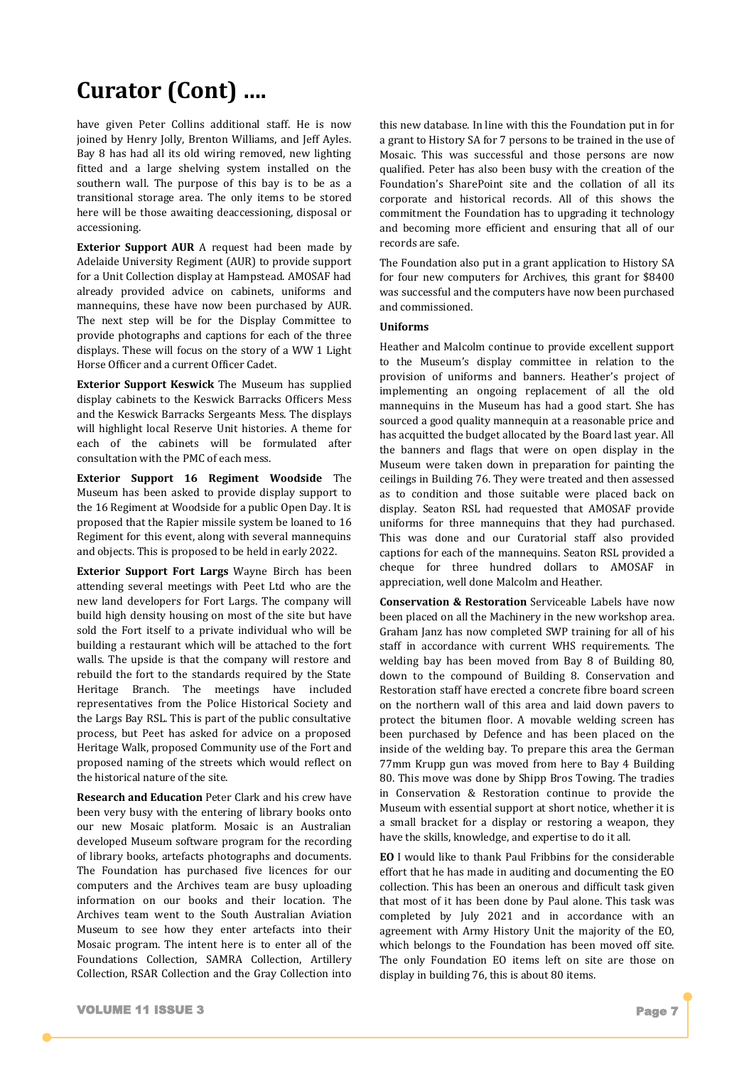# **Curator (Cont) ….**

have given Peter Collins additional staff. He is now joined by Henry Jolly, Brenton Williams, and Jeff Ayles. Bay 8 has had all its old wiring removed, new lighting fitted and a large shelving system installed on the southern wall. The purpose of this bay is to be as a transitional storage area. The only items to be stored here will be those awaiting deaccessioning, disposal or accessioning.

**Exterior Support AUR** A request had been made by Adelaide University Regiment (AUR) to provide support for a Unit Collection display at Hampstead. AMOSAF had already provided advice on cabinets, uniforms and mannequins, these have now been purchased by AUR. The next step will be for the Display Committee to provide photographs and captions for each of the three displays. These will focus on the story of a WW 1 Light Horse Officer and a current Officer Cadet.

**Exterior Support Keswick The Museum has supplied** display cabinets to the Keswick Barracks Officers Mess and the Keswick Barracks Sergeants Mess. The displays will highlight local Reserve Unit histories. A theme for each of the cabinets will be formulated after consultation with the PMC of each mess.

**Exterior Support 16 Regiment Woodside** The Museum has been asked to provide display support to the 16 Regiment at Woodside for a public Open Day. It is proposed that the Rapier missile system be loaned to 16 Regiment for this event, along with several mannequins and objects. This is proposed to be held in early 2022.

**Exterior Support Fort Largs** Wayne Birch has been attending several meetings with Peet Ltd who are the new land developers for Fort Largs. The company will build high density housing on most of the site but have sold the Fort itself to a private individual who will be building a restaurant which will be attached to the fort walls. The upside is that the company will restore and rebuild the fort to the standards required by the State Heritage Branch. The meetings have included representatives from the Police Historical Society and the Largs Bay RSL. This is part of the public consultative process, but Peet has asked for advice on a proposed Heritage Walk, proposed Community use of the Fort and proposed naming of the streets which would reflect on the historical nature of the site.

**Research and Education** Peter Clark and his crew have been very busy with the entering of library books onto our new Mosaic platform. Mosaic is an Australian developed Museum software program for the recording of library books, artefacts photographs and documents. The Foundation has purchased five licences for our computers and the Archives team are busy uploading information on our books and their location. The Archives team went to the South Australian Aviation Museum to see how they enter artefacts into their Mosaic program. The intent here is to enter all of the Foundations Collection, SAMRA Collection, Artillery Collection, RSAR Collection and the Gray Collection into

this new database. In line with this the Foundation put in for a grant to History SA for 7 persons to be trained in the use of Mosaic. This was successful and those persons are now qualified. Peter has also been busy with the creation of the Foundation's SharePoint site and the collation of all its corporate and historical records. All of this shows the commitment the Foundation has to upgrading it technology and becoming more efficient and ensuring that all of our records are safe.

The Foundation also put in a grant application to History SA for four new computers for Archives, this grant for \$8400 was successful and the computers have now been purchased and commissioned.

#### **Uniforms**

Heather and Malcolm continue to provide excellent support to the Museum's display committee in relation to the provision of uniforms and banners. Heather's project of implementing an ongoing replacement of all the old mannequins in the Museum has had a good start. She has sourced a good quality mannequin at a reasonable price and has acquitted the budget allocated by the Board last year. All the banners and flags that were on open display in the Museum were taken down in preparation for painting the ceilings in Building 76. They were treated and then assessed as to condition and those suitable were placed back on display. Seaton RSL had requested that AMOSAF provide uniforms for three mannequins that they had purchased. This was done and our Curatorial staff also provided captions for each of the mannequins. Seaton RSL provided a cheque for three hundred dollars to AMOSAF in appreciation, well done Malcolm and Heather.

**Conservation & Restoration** Serviceable Labels have now been placed on all the Machinery in the new workshop area. Graham Janz has now completed SWP training for all of his staff in accordance with current WHS requirements. The welding bay has been moved from Bay 8 of Building 80, down to the compound of Building 8. Conservation and Restoration staff have erected a concrete fibre board screen on the northern wall of this area and laid down pavers to protect the bitumen floor. A movable welding screen has been purchased by Defence and has been placed on the inside of the welding bay. To prepare this area the German 77mm Krupp gun was moved from here to Bay 4 Building 80. This move was done by Shipp Bros Towing. The tradies in Conservation & Restoration continue to provide the Museum with essential support at short notice, whether it is a small bracket for a display or restoring a weapon, they have the skills, knowledge, and expertise to do it all.

**EO** I would like to thank Paul Fribbins for the considerable effort that he has made in auditing and documenting the EO collection. This has been an onerous and difficult task given that most of it has been done by Paul alone. This task was completed by July 2021 and in accordance with an agreement with Army History Unit the majority of the EO, which belongs to the Foundation has been moved off site. The only Foundation EO items left on site are those on display in building 76, this is about 80 items.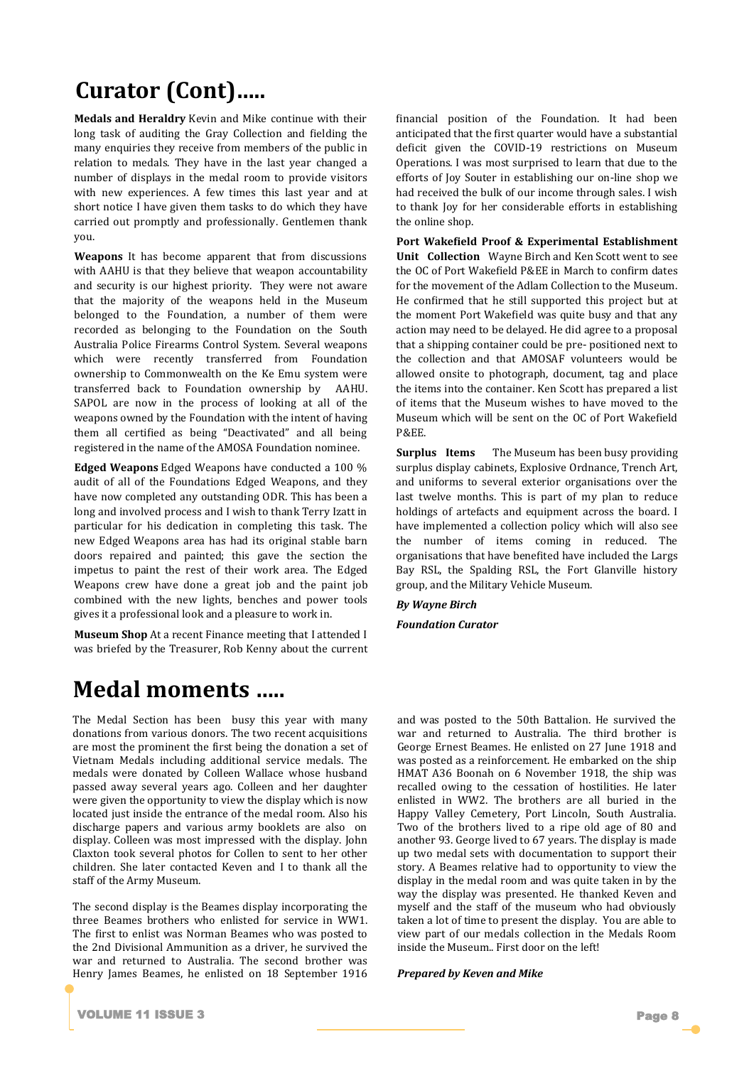# **Curator (Cont)…..**

**Medals and Heraldry** Kevin and Mike continue with their long task of auditing the Gray Collection and fielding the many enquiries they receive from members of the public in relation to medals. They have in the last year changed a number of displays in the medal room to provide visitors with new experiences. A few times this last year and at short notice I have given them tasks to do which they have carried out promptly and professionally. Gentlemen thank you.

**Weapons** It has become apparent that from discussions with AAHU is that they believe that weapon accountability and security is our highest priority. They were not aware that the majority of the weapons held in the Museum belonged to the Foundation, a number of them were recorded as belonging to the Foundation on the South Australia Police Firearms Control System. Several weapons which were recently transferred from Foundation ownership to Commonwealth on the Ke Emu system were transferred back to Foundation ownership by AAHU. SAPOL are now in the process of looking at all of the weapons owned by the Foundation with the intent of having them all certified as being "Deactivated" and all being registered in the name of the AMOSA Foundation nominee.

**Edged Weapons** Edged Weapons have conducted a 100 % audit of all of the Foundations Edged Weapons, and they have now completed any outstanding ODR. This has been a long and involved process and I wish to thank Terry Izatt in particular for his dedication in completing this task. The new Edged Weapons area has had its original stable barn doors repaired and painted; this gave the section the impetus to paint the rest of their work area. The Edged Weapons crew have done a great job and the paint job combined with the new lights, benches and power tools gives it a professional look and a pleasure to work in.

**Museum Shop** At a recent Finance meeting that I attended I was briefed by the Treasurer, Rob Kenny about the current

### **Medal moments …..**

The Medal Section has been busy this year with many donations from various donors. The two recent acquisitions are most the prominent the first being the donation a set of Vietnam Medals including additional service medals. The medals were donated by Colleen Wallace whose husband passed away several years ago. Colleen and her daughter were given the opportunity to view the display which is now located just inside the entrance of the medal room. Also his discharge papers and various army booklets are also on display. Colleen was most impressed with the display. John Claxton took several photos for Collen to sent to her other children. She later contacted Keven and I to thank all the staff of the Army Museum.

The second display is the Beames display incorporating the three Beames brothers who enlisted for service in WW1. The first to enlist was Norman Beames who was posted to the 2nd Divisional Ammunition as a driver, he survived the war and returned to Australia. The second brother was Henry James Beames, he enlisted on 18 September 1916 financial position of the Foundation. It had been anticipated that the first quarter would have a substantial deficit given the COVID-19 restrictions on Museum Operations. I was most surprised to learn that due to the efforts of Joy Souter in establishing our on-line shop we had received the bulk of our income through sales. I wish to thank Joy for her considerable efforts in establishing the online shop.

**Port Wakefield Proof & Experimental Establishment Unit Collection** Wayne Birch and Ken Scott went to see the OC of Port Wakefield P&EE in March to confirm dates for the movement of the Adlam Collection to the Museum. He confirmed that he still supported this project but at the moment Port Wakefield was quite busy and that any action may need to be delayed. He did agree to a proposal that a shipping container could be pre- positioned next to the collection and that AMOSAF volunteers would be allowed onsite to photograph, document, tag and place the items into the container. Ken Scott has prepared a list of items that the Museum wishes to have moved to the Museum which will be sent on the OC of Port Wakefield P&EE.

**Surplus Items** The Museum has been busy providing surplus display cabinets, Explosive Ordnance, Trench Art, and uniforms to several exterior organisations over the last twelve months. This is part of my plan to reduce holdings of artefacts and equipment across the board. I have implemented a collection policy which will also see the number of items coming in reduced. The organisations that have benefited have included the Largs Bay RSL, the Spalding RSL, the Fort Glanville history group, and the Military Vehicle Museum.

*By Wayne Birch* 

*Foundation Curator*

and was posted to the 50th Battalion. He survived the war and returned to Australia. The third brother is George Ernest Beames. He enlisted on 27 June 1918 and was posted as a reinforcement. He embarked on the ship HMAT A36 Boonah on 6 November 1918, the ship was recalled owing to the cessation of hostilities. He later enlisted in WW2. The brothers are all buried in the Happy Valley Cemetery, Port Lincoln, South Australia. Two of the brothers lived to a ripe old age of 80 and another 93. George lived to 67 years. The display is made up two medal sets with documentation to support their story. A Beames relative had to opportunity to view the display in the medal room and was quite taken in by the way the display was presented. He thanked Keven and myself and the staff of the museum who had obviously taken a lot of time to present the display. You are able to view part of our medals collection in the Medals Room inside the Museum.. First door on the left!

*Prepared by Keven and Mike*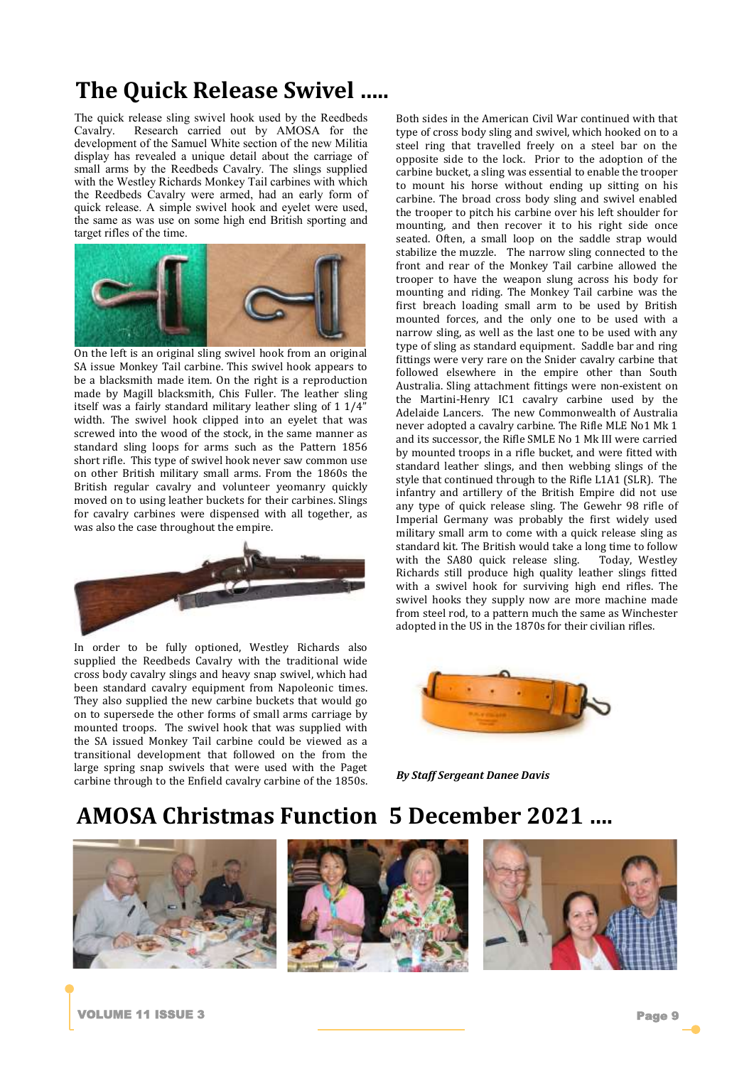# **The Quick Release Swivel …..**

The quick release sling swivel hook used by the Reedbeds Cavalry. Research carried out by AMOSA for the development of the Samuel White section of the new Militia display has revealed a unique detail about the carriage of small arms by the Reedbeds Cavalry. The slings supplied with the Westley Richards Monkey Tail carbines with which the Reedbeds Cavalry were armed, had an early form of quick release. A simple swivel hook and eyelet were used, the same as was use on some high end British sporting and target rifles of the time.



On the left is an original sling swivel hook from an original SA issue Monkey Tail carbine. This swivel hook appears to be a blacksmith made item. On the right is a reproduction made by Magill blacksmith, Chis Fuller. The leather sling itself was a fairly standard military leather sling of 1 1/4" width. The swivel hook clipped into an eyelet that was screwed into the wood of the stock, in the same manner as standard sling loops for arms such as the Pattern 1856 short rifle. This type of swivel hook never saw common use on other British military small arms. From the 1860s the British regular cavalry and volunteer yeomanry quickly moved on to using leather buckets for their carbines. Slings for cavalry carbines were dispensed with all together, as was also the case throughout the empire.



In order to be fully optioned, Westley Richards also supplied the Reedbeds Cavalry with the traditional wide cross body cavalry slings and heavy snap swivel, which had been standard cavalry equipment from Napoleonic times. They also supplied the new carbine buckets that would go on to supersede the other forms of small arms carriage by mounted troops. The swivel hook that was supplied with the SA issued Monkey Tail carbine could be viewed as a transitional development that followed on the from the large spring snap swivels that were used with the Paget carbine through to the Enfield cavalry carbine of the 1850s. Both sides in the American Civil War continued with that type of cross body sling and swivel, which hooked on to a steel ring that travelled freely on a steel bar on the opposite side to the lock. Prior to the adoption of the carbine bucket, a sling was essential to enable the trooper to mount his horse without ending up sitting on his carbine. The broad cross body sling and swivel enabled the trooper to pitch his carbine over his left shoulder for mounting, and then recover it to his right side once seated. Often, a small loop on the saddle strap would stabilize the muzzle. The narrow sling connected to the front and rear of the Monkey Tail carbine allowed the trooper to have the weapon slung across his body for mounting and riding. The Monkey Tail carbine was the first breach loading small arm to be used by British mounted forces, and the only one to be used with a narrow sling, as well as the last one to be used with any type of sling as standard equipment. Saddle bar and ring fittings were very rare on the Snider cavalry carbine that followed elsewhere in the empire other than South Australia. Sling attachment fittings were non-existent on the Martini-Henry IC1 cavalry carbine used by the Adelaide Lancers. The new Commonwealth of Australia never adopted a cavalry carbine. The Rifle MLE No1 Mk 1 and its successor, the Rifle SMLE No 1 Mk III were carried by mounted troops in a rifle bucket, and were fitted with standard leather slings, and then webbing slings of the style that continued through to the Rifle L1A1 (SLR). The infantry and artillery of the British Empire did not use any type of quick release sling. The Gewehr 98 rifle of Imperial Germany was probably the first widely used military small arm to come with a quick release sling as standard kit. The British would take a long time to follow with the SA80 quick release sling. Today, Westley Richards still produce high quality leather slings fitted with a swivel hook for surviving high end rifles. The swivel hooks they supply now are more machine made from steel rod, to a pattern much the same as Winchester adopted in the US in the 1870s for their civilian rifles.



*By Staff Sergeant Danee Davis*

### **AMOSA Christmas Function 5 December 2021 ….**